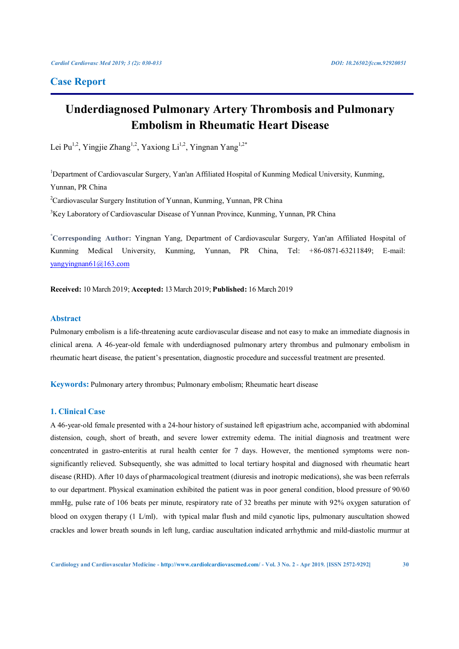# **Case Report**

# **Underdiagnosed Pulmonary Artery Thrombosis and Pulmonary Embolism in Rheumatic Heart Disease**

Lei Pu<sup>1,2</sup>, Yingjie Zhang<sup>1,2</sup>, Yaxiong Li<sup>1,2</sup>, Yingnan Yang<sup>1,2\*</sup>

<sup>1</sup>Department of Cardiovascular Surgery, Yan'an Affiliated Hospital of Kunming Medical University, Kunming, Yunnan, PR China

<sup>2</sup>Cardiovascular Surgery Institution of Yunnan, Kunming, Yunnan, PR China

<sup>3</sup>Key Laboratory of Cardiovascular Disease of Yunnan Province, Kunming, Yunnan, PR China

**\* Corresponding Author:** Yingnan Yang, Department of Cardiovascular Surgery, Yan'an Affiliated Hospital of Kunming Medical University, Kunming, Yunnan, PR China, Tel: +86-0871-63211849; E-mail: yangyingnan61@163.com

**Received:** 10 March 2019; **Accepted:** 13 March 2019; **Published:** 16 March 2019

# **Abstract**

Pulmonary embolism is a life-threatening acute cardiovascular disease and not easy to make an immediate diagnosis in clinical arena. A 46-year-old female with underdiagnosed pulmonary artery thrombus and pulmonary embolism in rheumatic heart disease, the patient's presentation, diagnostic procedure and successful treatment are presented.

**Keywords:** Pulmonary artery thrombus; Pulmonary embolism; Rheumatic heart disease

### **1. Clinical Case**

A 46-year-old female presented with a 24-hour history of sustained left epigastrium ache, accompanied with abdominal distension, cough, short of breath, and severe lower extremity edema. The initial diagnosis and treatment were concentrated in gastro-enteritis at rural health center for 7 days. However, the mentioned symptoms were nonsignificantly relieved. Subsequently, she was admitted to local tertiary hospital and diagnosed with rheumatic heart disease (RHD). After 10 days of pharmacological treatment (diuresis and inotropic medications), she was been referrals to our department. Physical examination exhibited the patient was in poor general condition, blood pressure of 90/60 mmHg, pulse rate of 106 beats per minute, respiratory rate of 32 breaths per minute with 92% oxygen saturation of blood on oxygen therapy (1 L/ml), with typical malar flush and mild cyanotic lips, pulmonary auscultation showed crackles and lower breath sounds in left lung, cardiac auscultation indicated arrhythmic and mild-diastolic murmur at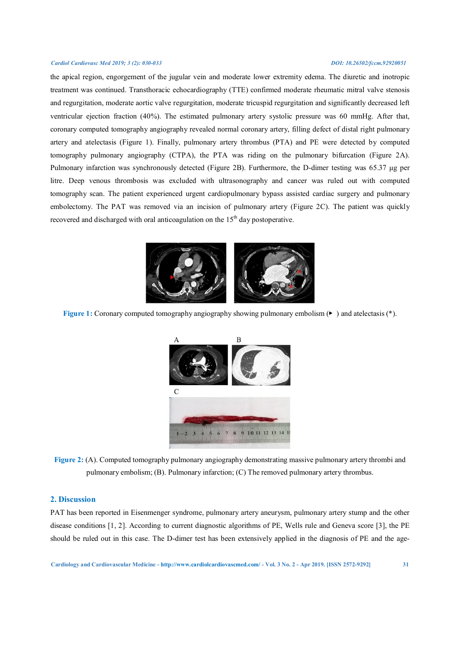#### *Cardiol Cardiovasc Med 2019; 3 (2): 030-033 DOI: 10.26502/fccm.92920051*

the apical region, engorgement of the jugular vein and moderate lower extremity edema. The diuretic and inotropic treatment was continued. Transthoracic echocardiography (TTE) confirmed moderate rheumatic mitral valve stenosis and regurgitation, moderate aortic valve regurgitation, moderate tricuspid regurgitation and significantly decreased left ventricular ejection fraction (40%). The estimated pulmonary artery systolic pressure was 60 mmHg. After that, coronary computed tomography angiography revealed normal coronary artery, filling defect of distal right pulmonary artery and atelectasis (Figure 1). Finally, pulmonary artery thrombus (PTA) and PE were detected by computed tomography pulmonary angiography (CTPA), the PTA was riding on the pulmonary bifurcation (Figure 2A). Pulmonary infarction was synchronously detected (Figure 2B). Furthermore, the D-dimer testing was 65.37 μg per litre. Deep venous thrombosis was excluded with ultrasonography and cancer was ruled out with computed tomography scan. The patient experienced urgent cardiopulmonary bypass assisted cardiac surgery and pulmonary embolectomy. The PAT was removed via an incision of pulmonary artery (Figure 2C). The patient was quickly recovered and discharged with oral anticoagulation on the 15<sup>th</sup> day postoperative.



**Figure 1:** Coronary computed tomography angiography showing pulmonary embolism (▶ ) and atelectasis (\*).



**Figure 2:** (A). Computed tomography pulmonary angiography demonstrating massive pulmonary artery thrombi and pulmonary embolism; (B). Pulmonary infarction; (C) The removed pulmonary artery thrombus.

#### **2. Discussion**

PAT has been reported in Eisenmenger syndrome, pulmonary artery aneurysm, pulmonary artery stump and the other disease conditions [1, 2]. According to current diagnostic algorithms of PE, Wells rule and Geneva score [3], the PE should be ruled out in this case. The D-dimer test has been extensively applied in the diagnosis of PE and the age-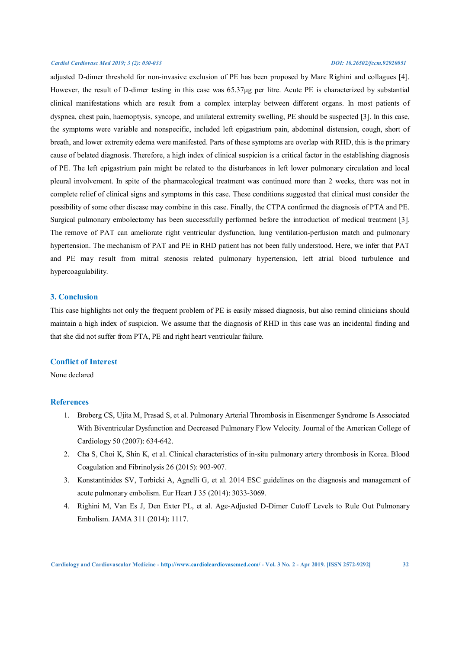#### *Cardiol Cardiovasc Med 2019; 3 (2): 030-033 DOI: 10.26502/fccm.92920051*

adjusted D-dimer threshold for non-invasive exclusion of PE has been proposed by Marc Righini and collagues [4]. However, the result of D-dimer testing in this case was 65.37μg per litre. Acute PE is characterized by substantial clinical manifestations which are result from a complex interplay between different organs. In most patients of dyspnea, chest pain, haemoptysis, syncope, and unilateral extremity swelling, PE should be suspected [3]. In this case, the symptoms were variable and nonspecific, included left epigastrium pain, abdominal distension, cough, short of breath, and lower extremity edema were manifested. Parts of these symptoms are overlap with RHD, this is the primary cause of belated diagnosis. Therefore, a high index of clinical suspicion is a critical factor in the establishing diagnosis of PE. The left epigastrium pain might be related to the disturbances in left lower pulmonary circulation and local pleural involvement. In spite of the pharmacological treatment was continued more than 2 weeks, there was not in complete relief of clinical signs and symptoms in this case. These conditions suggested that clinical must consider the possibility of some other disease may combine in this case. Finally, the CTPA confirmed the diagnosis of PTA and PE. Surgical pulmonary embolectomy has been successfully performed before the introduction of medical treatment [3]. The remove of PAT can ameliorate right ventricular dysfunction, lung ventilation-perfusion match and pulmonary hypertension. The mechanism of PAT and PE in RHD patient has not been fully understood. Here, we infer that PAT and PE may result from mitral stenosis related pulmonary hypertension, left atrial blood turbulence and hypercoagulability.

## **3. Conclusion**

This case highlights not only the frequent problem of PE is easily missed diagnosis, but also remind clinicians should maintain a high index of suspicion. We assume that the diagnosis of RHD in this case was an incidental finding and that she did not suffer from PTA, PE and right heart ventricular failure.

### **Conflict of Interest**

None declared

#### **References**

- 1. Broberg CS, Ujita M, Prasad S, et al. Pulmonary Arterial Thrombosis in Eisenmenger Syndrome Is Associated With Biventricular Dysfunction and Decreased Pulmonary Flow Velocity. Journal of the American College of Cardiology 50 (2007): 634-642.
- 2. Cha S, Choi K, Shin K, et al. Clinical characteristics of in-situ pulmonary artery thrombosis in Korea. Blood Coagulation and Fibrinolysis 26 (2015): 903-907.
- 3. Konstantinides SV, Torbicki A, Agnelli G, et al. 2014 ESC guidelines on the diagnosis and management of acute pulmonary embolism. Eur Heart J 35 (2014): 3033-3069.
- 4. Righini M, Van Es J, Den Exter PL, et al. Age-Adjusted D-Dimer Cutoff Levels to Rule Out Pulmonary Embolism. JAMA 311 (2014): 1117.